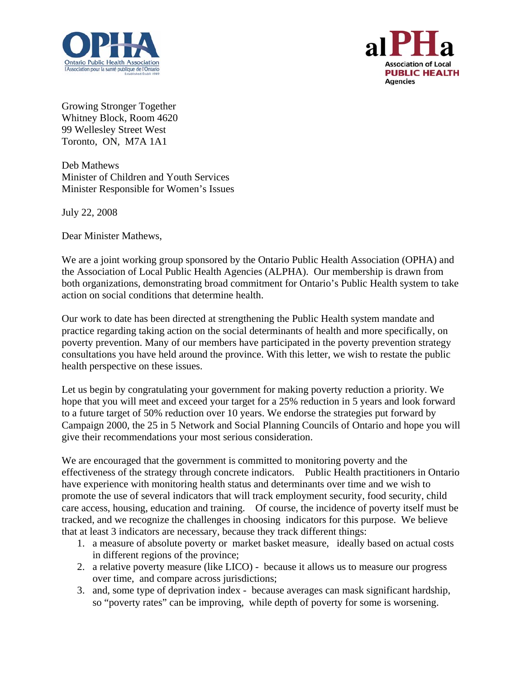



Growing Stronger Together Whitney Block, Room 4620 99 Wellesley Street West Toronto, ON, M7A 1A1

Deb Mathews Minister of Children and Youth Services Minister Responsible for Women's Issues

July 22, 2008

Dear Minister Mathews,

We are a joint working group sponsored by the Ontario Public Health Association (OPHA) and the Association of Local Public Health Agencies (ALPHA). Our membership is drawn from both organizations, demonstrating broad commitment for Ontario's Public Health system to take action on social conditions that determine health.

Our work to date has been directed at strengthening the Public Health system mandate and practice regarding taking action on the social determinants of health and more specifically, on poverty prevention. Many of our members have participated in the poverty prevention strategy consultations you have held around the province. With this letter, we wish to restate the public health perspective on these issues.

Let us begin by congratulating your government for making poverty reduction a priority. We hope that you will meet and exceed your target for a 25% reduction in 5 years and look forward to a future target of 50% reduction over 10 years. We endorse the strategies put forward by Campaign 2000, the 25 in 5 Network and Social Planning Councils of Ontario and hope you will give their recommendations your most serious consideration.

We are encouraged that the government is committed to monitoring poverty and the effectiveness of the strategy through concrete indicators. Public Health practitioners in Ontario have experience with monitoring health status and determinants over time and we wish to promote the use of several indicators that will track employment security, food security, child care access, housing, education and training. Of course, the incidence of poverty itself must be tracked, and we recognize the challenges in choosing indicators for this purpose. We believe that at least 3 indicators are necessary, because they track different things:

- 1. a measure of absolute poverty or market basket measure, ideally based on actual costs in different regions of the province;
- 2. a relative poverty measure (like LICO) because it allows us to measure our progress over time, and compare across jurisdictions;
- 3. and, some type of deprivation index because averages can mask significant hardship, so "poverty rates" can be improving, while depth of poverty for some is worsening.